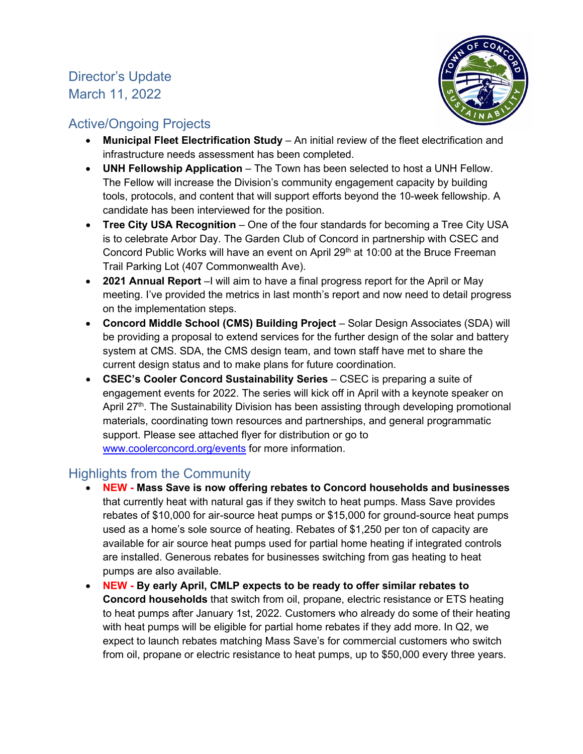# Director's Update March 11, 2022



# Active/Ongoing Projects

- **Municipal Fleet Electrification Study** An initial review of the fleet electrification and infrastructure needs assessment has been completed.
- **UNH Fellowship Application** The Town has been selected to host a UNH Fellow. The Fellow will increase the Division's community engagement capacity by building tools, protocols, and content that will support efforts beyond the 10-week fellowship. A candidate has been interviewed for the position.
- **Tree City USA Recognition** One of the four standards for becoming a Tree City USA is to celebrate Arbor Day. The Garden Club of Concord in partnership with CSEC and Concord Public Works will have an event on April 29<sup>th</sup> at 10:00 at the Bruce Freeman Trail Parking Lot (407 Commonwealth Ave).
- **2021 Annual Report** –I will aim to have a final progress report for the April or May meeting. I've provided the metrics in last month's report and now need to detail progress on the implementation steps.
- **Concord Middle School (CMS) Building Project**  Solar Design Associates (SDA) will be providing a proposal to extend services for the further design of the solar and battery system at CMS. SDA, the CMS design team, and town staff have met to share the current design status and to make plans for future coordination.
- **CSEC's Cooler Concord Sustainability Series**  CSEC is preparing a suite of engagement events for 2022. The series will kick off in April with a keynote speaker on April 27<sup>th</sup>. The Sustainability Division has been assisting through developing promotional materials, coordinating town resources and partnerships, and general programmatic support. Please see attached flyer for distribution or go to [www.coolerconcord.org/events](http://www.coolerconcord.org/events) for more information.

# Highlights from the Community

- **NEW - Mass Save is now offering rebates to Concord households and businesses** that currently heat with natural gas if they switch to heat pumps. Mass Save provides rebates of \$10,000 for air-source heat pumps or \$15,000 for ground-source heat pumps used as a home's sole source of heating. Rebates of \$1,250 per ton of capacity are available for air source heat pumps used for partial home heating if integrated controls are installed. Generous rebates for businesses switching from gas heating to heat pumps are also available.
- **NEW - By early April, CMLP expects to be ready to offer similar rebates to Concord households** that switch from oil, propane, electric resistance or ETS heating to heat pumps after January 1st, 2022. Customers who already do some of their heating with heat pumps will be eligible for partial home rebates if they add more. In Q2, we expect to launch rebates matching Mass Save's for commercial customers who switch from oil, propane or electric resistance to heat pumps, up to \$50,000 every three years.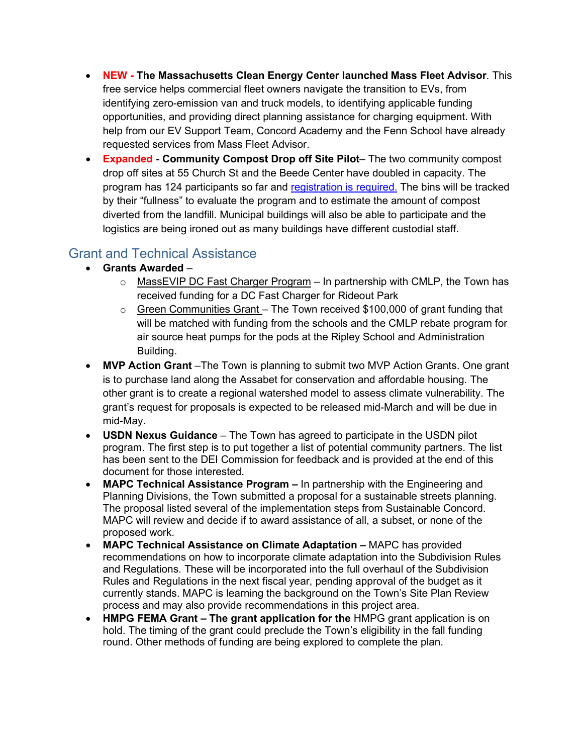- **NEW - The Massachusetts Clean Energy Center launched Mass Fleet Advisor**. This free service helps commercial fleet owners navigate the transition to EVs, from identifying zero-emission van and truck models, to identifying applicable funding opportunities, and providing direct planning assistance for charging equipment. With help from our EV Support Team, Concord Academy and the Fenn School have already requested services from Mass Fleet Advisor.
- **Expanded - Community Compost Drop off Site Pilot** The two community compost drop off sites at 55 Church St and the Beede Center have doubled in capacity. The program has 124 participants so far and [registration is required.](https://forms.office.com/Pages/DesignPage.aspx?auth_pvr=OrgId&auth_upn=akohn%40concordma.gov&lang=en-US&origin=OfficeDotCom&route=Start#FormId=LJ4l1RUZRU-IthJIgBnOO06im_dEC-tNjLWeK_likG5UMFAxNE9KVE5UVFQwTzdTSEQyVjY3NUZYSS4u) The bins will be tracked by their "fullness" to evaluate the program and to estimate the amount of compost diverted from the landfill. Municipal buildings will also be able to participate and the logistics are being ironed out as many buildings have different custodial staff.

# Grant and Technical Assistance

- **Grants Awarded**
	- o MassEVIP DC Fast Charger Program In partnership with CMLP, the Town has received funding for a DC Fast Charger for Rideout Park
	- $\circ$  Green Communities Grant The Town received \$100,000 of grant funding that will be matched with funding from the schools and the CMLP rebate program for air source heat pumps for the pods at the Ripley School and Administration Building.
- **MVP Action Grant** The Town is planning to submit two MVP Action Grants. One grant is to purchase land along the Assabet for conservation and affordable housing. The other grant is to create a regional watershed model to assess climate vulnerability. The grant's request for proposals is expected to be released mid-March and will be due in mid-May.
- **USDN Nexus Guidance** The Town has agreed to participate in the USDN pilot program. The first step is to put together a list of potential community partners. The list has been sent to the DEI Commission for feedback and is provided at the end of this document for those interested.
- **MAPC Technical Assistance Program –** In partnership with the Engineering and Planning Divisions, the Town submitted a proposal for a sustainable streets planning. The proposal listed several of the implementation steps from Sustainable Concord. MAPC will review and decide if to award assistance of all, a subset, or none of the proposed work.
- **MAPC Technical Assistance on Climate Adaptation –** MAPC has provided recommendations on how to incorporate climate adaptation into the Subdivision Rules and Regulations. These will be incorporated into the full overhaul of the Subdivision Rules and Regulations in the next fiscal year, pending approval of the budget as it currently stands. MAPC is learning the background on the Town's Site Plan Review process and may also provide recommendations in this project area.
- **HMPG FEMA Grant – The grant application for the** HMPG grant application is on hold. The timing of the grant could preclude the Town's eligibility in the fall funding round. Other methods of funding are being explored to complete the plan.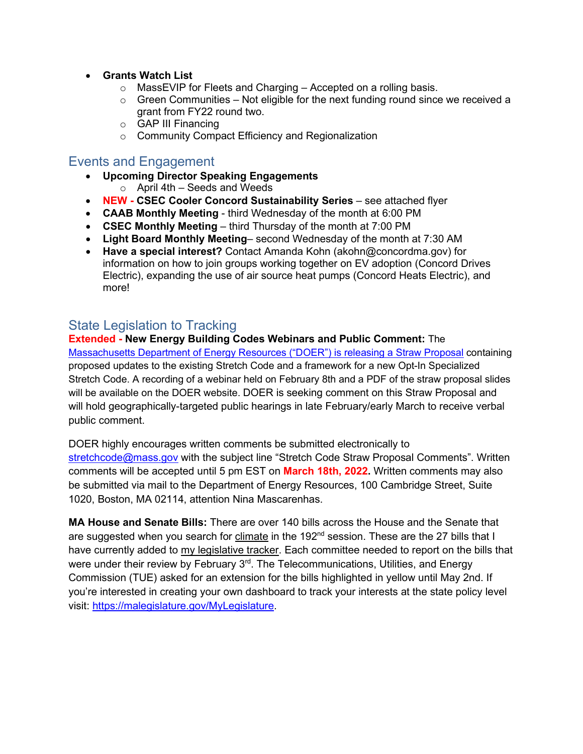- **Grants Watch List** 
	- $\circ$  MassEVIP for Fleets and Charging Accepted on a rolling basis.
	- $\circ$  Green Communities Not eligible for the next funding round since we received a grant from FY22 round two.
	- o GAP III Financing
	- o Community Compact Efficiency and Regionalization

## Events and Engagement

- **Upcoming Director Speaking Engagements** 
	- $\circ$  April 4th Seeds and Weeds
- **NEW - CSEC Cooler Concord Sustainability Series** see attached flyer
- **CAAB Monthly Meeting** third Wednesday of the month at 6:00 PM
- **CSEC Monthly Meeting** third Thursday of the month at 7:00 PM
- **Light Board Monthly Meeting** second Wednesday of the month at 7:30 AM
- **Have a special interest?** Contact Amanda Kohn (akohn@concordma.gov) for information on how to join groups working together on EV adoption (Concord Drives Electric), expanding the use of air source heat pumps (Concord Heats Electric), and more!

## State Legislation to Tracking

## **Extended - New Energy Building Codes Webinars and Public Comment:** The

[Massachusetts Department of Energy Resources \("DOER"\) is releasing a Straw Proposal](https://www.mass.gov/info-details/stretch-energy-code-development-2022) containing proposed updates to the existing Stretch Code and a framework for a new Opt-In Specialized Stretch Code. A recording of a webinar held on February 8th and a PDF of the straw proposal slides will be available on the DOER website. DOER is seeking comment on this Straw Proposal and will hold geographically-targeted public hearings in late February/early March to receive verbal public comment.

DOER highly encourages written comments be submitted electronically to [stretchcode@mass.gov](mailto:stretchcode@mass.gov) with the subject line "Stretch Code Straw Proposal Comments". Written comments will be accepted until 5 pm EST on **March 18th, 2022.** Written comments may also be submitted via mail to the Department of Energy Resources, 100 Cambridge Street, Suite 1020, Boston, MA 02114, attention Nina Mascarenhas.

**MA House and Senate Bills:** There are over 140 bills across the House and the Senate that are suggested when you search for [climate](https://malegislature.gov/Bills/Search?searchTerms=climate) in the  $192<sup>nd</sup>$  session. These are the 27 bills that I have currently added to [my legislative tracker.](https://malegislature.gov/MyLegislature) Each committee needed to report on the bills that were under their review by February 3<sup>rd</sup>. The Telecommunications, Utilities, and Energy Commission (TUE) asked for an extension for the bills highlighted in yellow until May 2nd. If you're interested in creating your own dashboard to track your interests at the state policy level visit: [https://malegislature.gov/MyLegislature.](https://malegislature.gov/MyLegislature)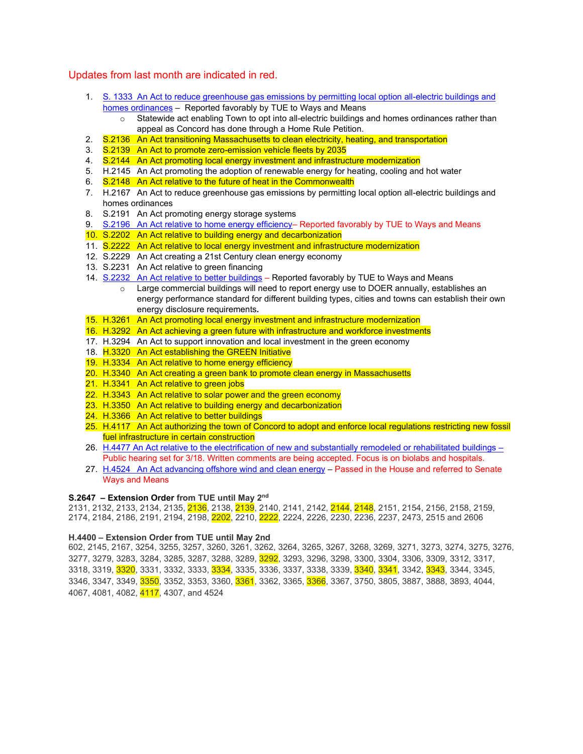#### Updates from last month are indicated in red.

- 1. [S. 1333 An Act to reduce greenhouse gas emissions by permitting local option all-electric buildings and](https://malegislature.gov/Bills/192/S1333)  [homes ordinances](https://malegislature.gov/Bills/192/S1333) – Reported favorably by TUE to Ways and Means
	- $\circ$  Statewide act enabling Town to opt into all-electric buildings and homes ordinances rather than appeal as Concord has done through a Home Rule Petition.
- 2. S.2136 An Act transitioning Massachusetts to clean electricity, heating, and transportation
- 3. S.2139 An Act to promote zero-emission vehicle fleets by 2035
- 4. S.2144 An Act promoting local energy investment and infrastructure modernization
- 5. H.2145 An Act promoting the adoption of renewable energy for heating, cooling and hot water
- 6. S.2148 An Act relative to the future of heat in the Commonwealth
- 7. H.2167 An Act to reduce greenhouse gas emissions by permitting local option all-electric buildings and homes ordinances
- 8. S.2191 An Act promoting energy storage systems
- 9. [S.2196 An Act relative to home energy efficiency–](https://malegislature.gov/Bills/192/S2196) Reported favorably by TUE to Ways and Means
- 10. S.2202 An Act relative to building energy and decarbonization
- 11. S.2222 An Act relative to local energy investment and infrastructure modernization
- 12. S.2229 An Act creating a 21st Century clean energy economy
- 13. S.2231 An Act relative to green financing
- 14. [S.2232 An Act relative to better buildings](https://malegislature.gov/Bills/192/SD2114) Reported favorably by TUE to Ways and Means
	- o Large commercial buildings will need to report energy use to DOER annually, establishes an energy performance standard for different building types, cities and towns can establish their own energy disclosure requirements**.**
- 15. H.3261 An Act promoting local energy investment and infrastructure modernization
- 16. H.3292 An Act achieving a green future with infrastructure and workforce investments
- 17. H.3294 An Act to support innovation and local investment in the green economy
- 18. H.3320 An Act establishing the GREEN Initiative
- 19. H.3334 An Act relative to home energy efficiency
- 20. H.3340 An Act creating a green bank to promote clean energy in Massachusetts
- 21. H.3341 An Act relative to green jobs
- 22. H.3343 An Act relative to solar power and the green economy
- 23. H.3350 An Act relative to building energy and decarbonization
- 24. H.3366 An Act relative to better buildings
- 25. H.4117 An Act authorizing the town of Concord to adopt and enforce local regulations restricting new fossil fuel infrastructure in certain construction
- 26. [H.4477 An Act relative to the electrification of new and substantially remodeled or rehabilitated buildings](https://malegislature.gov/Bills/192/H4477) Public hearing set for 3/18. Written comments are being accepted. Focus is on biolabs and hospitals.
- 27. H.4524 [An Act advancing offshore wind and clean energy](https://malegislature.gov/Bills/192/H4524) Passed in the House and referred to Senate Ways and Means

#### **S.2647 – Extension Order from TUE until May 2nd**

2131, 2132, 2133, 2134, 2135, 2136, 2138, 2139, 2140, 2141, 2142, 2144, 2148, 2151, 2154, 2156, 2158, 2159. 2174, 2184, 2186, 2191, 2194, 2198, 2202, 2210, 2222, 2224, 2226, 2230, 2236, 2237, 2473, 2515 and 2606

#### **H.4400 – Extension Order from TUE until May 2nd**

602, 2145, 2167, 3254, 3255, 3257, 3260, 3261, 3262, 3264, 3265, 3267, 3268, 3269, 3271, 3273, 3274, 3275, 3276, 3277, 3279, 3283, 3284, 3285, 3287, 3288, 3289, 3292, 3293, 3296, 3298, 3300, 3304, 3306, 3309, 3312, 3317, 3318, 3319, 3320, 3331, 3332, 3333, 3334, 3335, 3336, 3337, 3338, 3339, 3340, 3341, 3342, 3343, 3344, 3345, 3346, 3347, 3349, 3350, 3352, 3353, 3360, 3361, 3362, 3365, 3366, 3367, 3750, 3805, 3887, 3888, 3893, 4044, 4067, 4081, 4082, 4117, 4307, and 4524